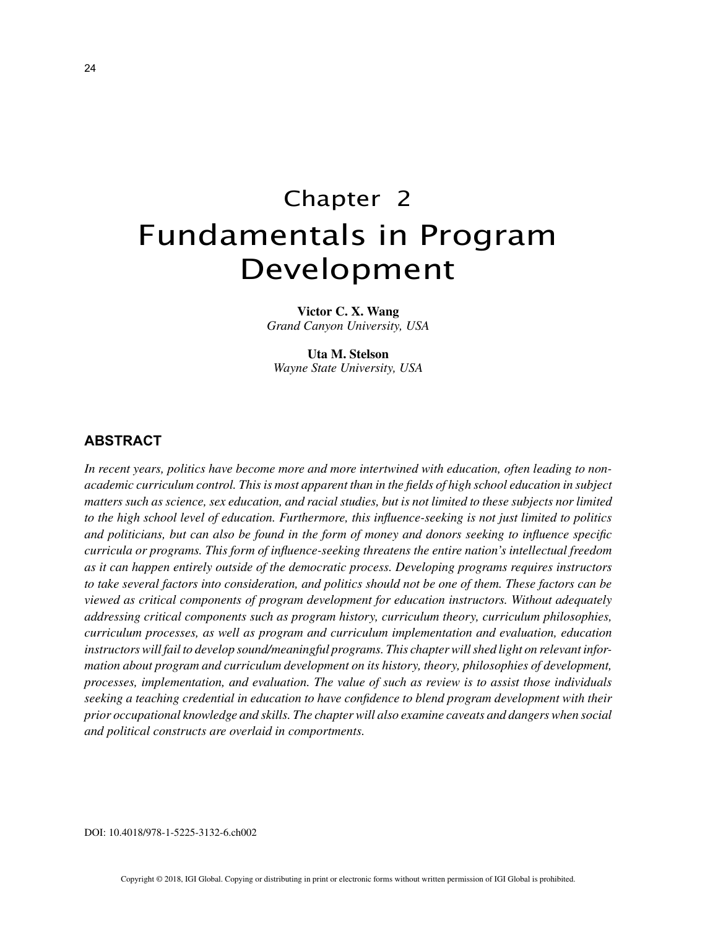# Chapter 2 Fundamentals in Program Development

**Victor C. X. Wang** *Grand Canyon University, USA*

**Uta M. Stelson** *Wayne State University, USA*

## **ABSTRACT**

*In recent years, politics have become more and more intertwined with education, often leading to nonacademic curriculum control. This is most apparent than in the fields of high school education in subject matters such as science, sex education, and racial studies, but is not limited to these subjects nor limited to the high school level of education. Furthermore, this influence-seeking is not just limited to politics and politicians, but can also be found in the form of money and donors seeking to influence specific curricula or programs. This form of influence-seeking threatens the entire nation's intellectual freedom as it can happen entirely outside of the democratic process. Developing programs requires instructors to take several factors into consideration, and politics should not be one of them. These factors can be viewed as critical components of program development for education instructors. Without adequately addressing critical components such as program history, curriculum theory, curriculum philosophies, curriculum processes, as well as program and curriculum implementation and evaluation, education instructors will fail to develop sound/meaningful programs. This chapter will shed light on relevant information about program and curriculum development on its history, theory, philosophies of development, processes, implementation, and evaluation. The value of such as review is to assist those individuals seeking a teaching credential in education to have confidence to blend program development with their prior occupational knowledge and skills. The chapter will also examine caveats and dangers when social and political constructs are overlaid in comportments.*

DOI: 10.4018/978-1-5225-3132-6.ch002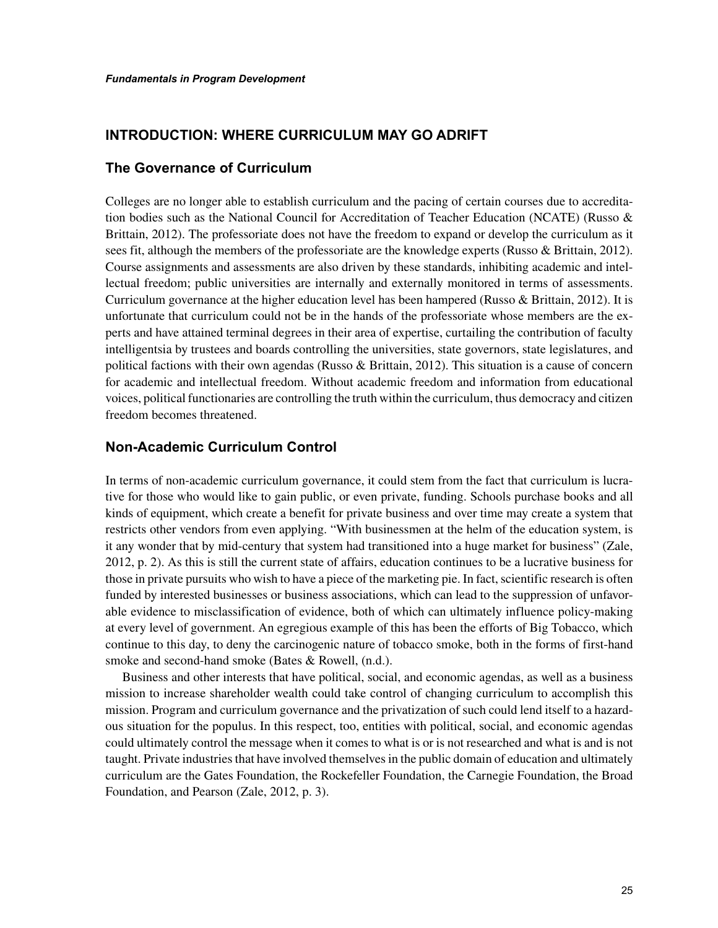# **INTRODUCTION: WHERE CURRICULUM MAY GO ADRIFT**

# **The Governance of Curriculum**

Colleges are no longer able to establish curriculum and the pacing of certain courses due to accreditation bodies such as the National Council for Accreditation of Teacher Education (NCATE) (Russo & Brittain, 2012). The professoriate does not have the freedom to expand or develop the curriculum as it sees fit, although the members of the professoriate are the knowledge experts (Russo & Brittain, 2012). Course assignments and assessments are also driven by these standards, inhibiting academic and intellectual freedom; public universities are internally and externally monitored in terms of assessments. Curriculum governance at the higher education level has been hampered (Russo & Brittain, 2012). It is unfortunate that curriculum could not be in the hands of the professoriate whose members are the experts and have attained terminal degrees in their area of expertise, curtailing the contribution of faculty intelligentsia by trustees and boards controlling the universities, state governors, state legislatures, and political factions with their own agendas (Russo & Brittain, 2012). This situation is a cause of concern for academic and intellectual freedom. Without academic freedom and information from educational voices, political functionaries are controlling the truth within the curriculum, thus democracy and citizen freedom becomes threatened.

# **Non-Academic Curriculum Control**

In terms of non-academic curriculum governance, it could stem from the fact that curriculum is lucrative for those who would like to gain public, or even private, funding. Schools purchase books and all kinds of equipment, which create a benefit for private business and over time may create a system that restricts other vendors from even applying. "With businessmen at the helm of the education system, is it any wonder that by mid-century that system had transitioned into a huge market for business" (Zale, 2012, p. 2). As this is still the current state of affairs, education continues to be a lucrative business for those in private pursuits who wish to have a piece of the marketing pie. In fact, scientific research is often funded by interested businesses or business associations, which can lead to the suppression of unfavorable evidence to misclassification of evidence, both of which can ultimately influence policy-making at every level of government. An egregious example of this has been the efforts of Big Tobacco, which continue to this day, to deny the carcinogenic nature of tobacco smoke, both in the forms of first-hand smoke and second-hand smoke (Bates & Rowell, (n.d.).

Business and other interests that have political, social, and economic agendas, as well as a business mission to increase shareholder wealth could take control of changing curriculum to accomplish this mission. Program and curriculum governance and the privatization of such could lend itself to a hazardous situation for the populus. In this respect, too, entities with political, social, and economic agendas could ultimately control the message when it comes to what is or is not researched and what is and is not taught. Private industries that have involved themselves in the public domain of education and ultimately curriculum are the Gates Foundation, the Rockefeller Foundation, the Carnegie Foundation, the Broad Foundation, and Pearson (Zale, 2012, p. 3).